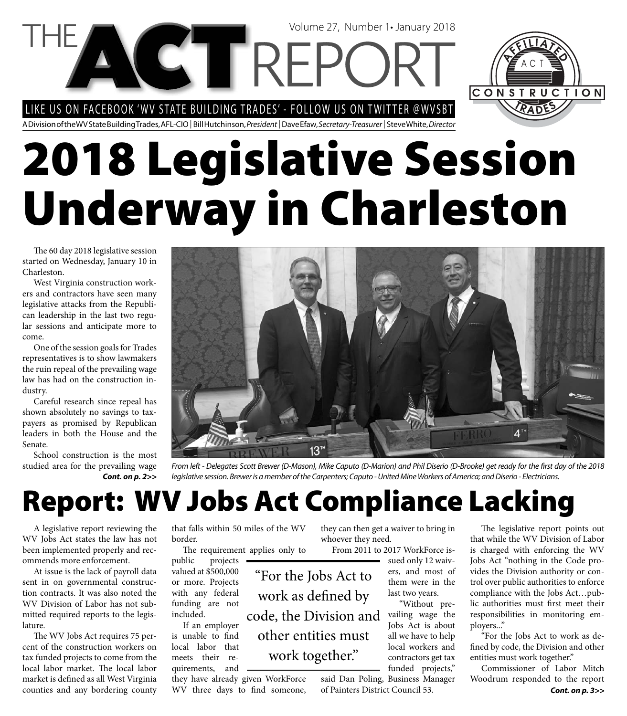LIKE US ON FACEBOOK 'WV STATE BUILDING TRADES' - FOLLOW US ON TWITTER @WVSBT

A Division of the WV State Building Trades, AFL-CIO | Bill Hutchinson, President | Dave Efaw, Secretary-Treasurer | Steve White, Director

**CTTREPO** 

# **2018 Legislative Session Underway in Charleston**

The 60 day 2018 legislative session started on Wednesday, January 10 in Charleston.

West Virginia construction workers and contractors have seen many legislative attacks from the Republican leadership in the last two regular sessions and anticipate more to come.

One of the session goals for Trades representatives is to show lawmakers the ruin repeal of the prevailing wage law has had on the construction industry.

Careful research since repeal has shown absolutely no savings to taxpayers as promised by Republican leaders in both the House and the Senate.

School construction is the most studied area for the prevailing wage *Cont. on p. 2>>*



Volume 27, Number 1• January 2018

From left - Delegates Scott Brewer (D-Mason), Mike Caputo (D-Marion) and Phil Diserio (D-Brooke) get ready for the first day of the 2018 legislative session. Brewer is a member of the Carpenters; Caputo - United Mine Workers of America; and Diserio - Electricians.

# **Report: WV Jobs Act Compliance Lacking**

"For the Jobs Act to

work as defined by

other entities must

work together."

A legislative report reviewing the WV Jobs Act states the law has not been implemented properly and recommends more enforcement.

At issue is the lack of payroll data sent in on governmental construction contracts. It was also noted the WV Division of Labor has not submitted required reports to the legislature.

The WV Jobs Act requires 75 percent of the construction workers on tax funded projects to come from the local labor market. The local labor market is defined as all West Virginia counties and any bordering county

that falls within 50 miles of the WV border.

The requirement applies only to public projects

valued at \$500,000 or more. Projects with any federal funding are not included.

If an employer is unable to find local labor that meets their requirements, and

they have already given WorkForce WV three days to find someone, they can then get a waiver to bring in whoever they need.

From 2011 to 2017 WorkForce is-

sued only 12 waivers, and most of them were in the last two years.

"Without precode, the Division and vailing wage the Jobs Act is about all we have to help local workers and contractors get tax funded projects,"

said Dan Poling, Business Manager of Painters District Council 53.

The legislative report points out that while the WV Division of Labor is charged with enforcing the WV Jobs Act "nothing in the Code provides the Division authority or control over public authorities to enforce compliance with the Jobs Act…public authorities must first meet their responsibilities in monitoring employers..."

"For the Jobs Act to work as defined by code, the Division and other entities must work together."

Commissioner of Labor Mitch Woodrum responded to the report *Cont. on p. 3>>*

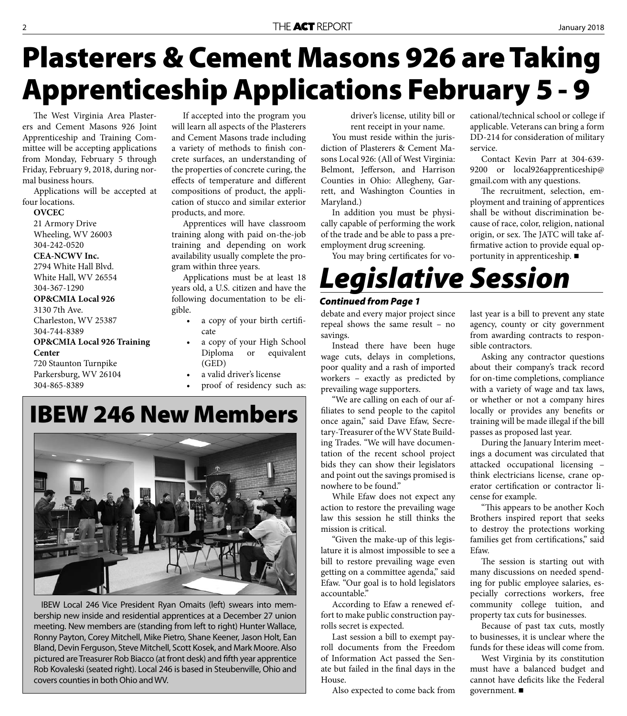# **Plasterers & Cement Masons 926 are Taking Apprenticeship Applications February 5 - 9**

The West Virginia Area Plasterers and Cement Masons 926 Joint Apprenticeship and Training Committee will be accepting applications from Monday, February 5 through Friday, February 9, 2018, during normal business hours.

Applications will be accepted at four locations.

#### **OVCEC**

21 Armory Drive

Wheeling, WV 26003 304-242-0520 **CEA-NCWV Inc.** 

2794 White Hall Blvd. White Hall, WV 26554 304-367-1290

#### **OP&CMIA Local 926**

3130 7th Ave. Charleston, WV 25387 304-744-8389

#### **OP&CMIA Local 926 Training**

**Center**  720 Staunton Turnpike Parkersburg, WV 26104 304-865-8389

If accepted into the program you will learn all aspects of the Plasterers and Cement Masons trade including a variety of methods to finish concrete surfaces, an understanding of the properties of concrete curing, the effects of temperature and different compositions of product, the application of stucco and similar exterior products, and more.

Apprentices will have classroom training along with paid on-the-job training and depending on work availability usually complete the program within three years.

Applications must be at least 18 years old, a U.S. citizen and have the following documentation to be eligible.

- a copy of your birth certificate
- a copy of your High School Diploma or equivalent (GED)
- a valid driver's license
- proof of residency such as:

### **IBEW 246 New Members**



IBEW Local 246 Vice President Ryan Omaits (left) swears into membership new inside and residential apprentices at a December 27 union meeting. New members are (standing from left to right) Hunter Wallace, Ronny Payton, Corey Mitchell, Mike Pietro, Shane Keener, Jason Holt, Ean Bland, Devin Ferguson, Steve Mitchell, Scott Kosek, and Mark Moore. Also pictured are Treasurer Rob Biacco (at front desk) and fifth year apprentice Rob Kovaleski (seated right). Local 246 is based in Steubenville, Ohio and covers counties in both Ohio and WV.

driver's license, utility bill or rent receipt in your name.

You must reside within the jurisdiction of Plasterers & Cement Masons Local 926: (All of West Virginia: Belmont, Jefferson, and Harrison Counties in Ohio: Allegheny, Garrett, and Washington Counties in Maryland.)

In addition you must be physically capable of performing the work of the trade and be able to pass a preemployment drug screening.

You may bring certificates for vo-

cational/technical school or college if applicable. Veterans can bring a form DD-214 for consideration of military service.

Contact Kevin Parr at 304-639- 9200 or local926apprenticeship@ gmail.com with any questions.

The recruitment, selection, employment and training of apprentices shall be without discrimination because of race, color, religion, national origin, or sex. The JATC will take affirmative action to provide equal opportunity in apprenticeship.

*Legislative Session*

#### *Continued from Page 1*

debate and every major project since repeal shows the same result – no savings.

Instead there have been huge wage cuts, delays in completions, poor quality and a rash of imported workers – exactly as predicted by prevailing wage supporters.

"We are calling on each of our affiliates to send people to the capitol once again," said Dave Efaw, Secretary-Treasurer of the WV State Building Trades. "We will have documentation of the recent school project bids they can show their legislators and point out the savings promised is nowhere to be found."

While Efaw does not expect any action to restore the prevailing wage law this session he still thinks the mission is critical.

"Given the make-up of this legislature it is almost impossible to see a bill to restore prevailing wage even getting on a committee agenda," said Efaw. "Our goal is to hold legislators accountable."

According to Efaw a renewed effort to make public construction payrolls secret is expected.

Last session a bill to exempt payroll documents from the Freedom of Information Act passed the Senate but failed in the final days in the House.

Also expected to come back from

last year is a bill to prevent any state agency, county or city government from awarding contracts to responsible contractors.

Asking any contractor questions about their company's track record for on-time completions, compliance with a variety of wage and tax laws, or whether or not a company hires locally or provides any benefits or training will be made illegal if the bill passes as proposed last year.

During the January Interim meetings a document was circulated that attacked occupational licensing – think electricians license, crane operator certification or contractor license for example.

"This appears to be another Koch Brothers inspired report that seeks to destroy the protections working families get from certifications," said Efaw.

The session is starting out with many discussions on needed spending for public employee salaries, especially corrections workers, free community college tuition, and property tax cuts for businesses.

Because of past tax cuts, mostly to businesses, it is unclear where the funds for these ideas will come from.

West Virginia by its constitution must have a balanced budget and cannot have deficits like the Federal government.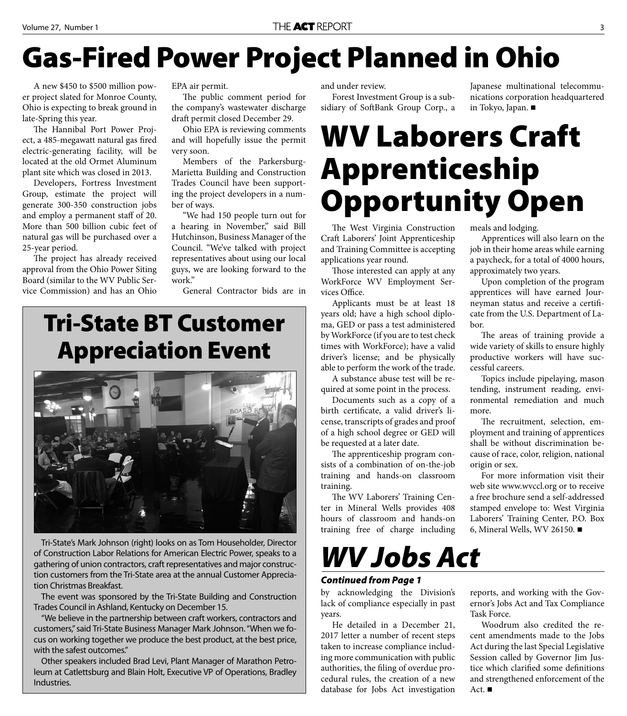# **Gas-Fired Power Project Planned in Ohio**

A new \$450 to \$500 million power project slated for Monroe County, Ohio is expecting to break ground in late-Spring this year.

The Hannibal Port Power Project, a 485-megawatt natural gas fired electric-generating facility, will be located at the old Ormet Aluminum plant site which was closed in 2013.

Developers, Fortress Investment Group, estimate the project will generate 300-350 construction jobs and employ a permanent staff of 20. More than 500 billion cubic feet of natural gas will be purchased over a 25-year period.

The project has already received approval from the Ohio Power Siting Board (similar to the WV Public Service Commission) and has an Ohio EPA air permit.

The public comment period for the company's wastewater discharge draft permit closed December 29.

Ohio EPA is reviewing comments and will hopefully issue the permit very soon.

Members of the Parkersburg-Marietta Building and Construction Trades Council have been supporting the project developers in a number of ways.

"We had 150 people turn out for a hearing in November," said Bill Hutchinson, Business Manager of the Council. "We've talked with project representatives about using our local guys, we are looking forward to the work."

General Contractor bids are in

### **Tri-State BT Customer Appreciation Event**



Tri-State's Mark Johnson (right) looks on as Tom Householder, Director of Construction Labor Relations for American Electric Power, speaks to a gathering of union contractors, craft representatives and major construction customers from the Tri-State area at the annual Customer Appreciation Christmas Breakfast.

The event was sponsored by the Tri-State Building and Construction Trades Council in Ashland, Kentucky on December 15.

"We believe in the partnership between craft workers, contractors and customers," said Tri-State Business Manager Mark Johnson. "When we focus on working together we produce the best product, at the best price, with the safest outcomes."

Other speakers included Brad Levi, Plant Manager of Marathon Petroleum at Catlettsburg and Blain Holt, Executive VP of Operations, Bradley Industries.

and under review.

Forest Investment Group is a subsidiary of SoftBank Group Corp., a Japanese multinational telecommunications corporation headquartered in Tokyo, Japan.

# **WV Laborers Craft Apprenticeship Opportunity Open**

The West Virginia Construction Craft Laborers' Joint Apprenticeship and Training Committee is accepting applications year round.

Those interested can apply at any WorkForce WV Employment Services Office.

Applicants must be at least 18 years old; have a high school diploma, GED or pass a test administered by WorkForce (if you are to test check times with WorkForce); have a valid driver's license; and be physically able to perform the work of the trade.

A substance abuse test will be required at some point in the process.

Documents such as a copy of a birth certificate, a valid driver's license, transcripts of grades and proof of a high school degree or GED will be requested at a later date.

The apprenticeship program consists of a combination of on-the-job training and hands-on classroom training.

The WV Laborers' Training Center in Mineral Wells provides 408 hours of classroom and hands-on training free of charge including

### *WV Jobs Act*

#### *Continued from Page 1*

by acknowledging the Division's lack of compliance especially in past years.

He detailed in a December 21, 2017 letter a number of recent steps taken to increase compliance including more communication with public authorities, the filing of overdue procedural rules, the creation of a new database for Jobs Act investigation

meals and lodging.

Apprentices will also learn on the job in their home areas while earning a paycheck, for a total of 4000 hours, approximately two years.

Upon completion of the program apprentices will have earned Journeyman status and receive a certificate from the U.S. Department of Labor.

The areas of training provide a wide variety of skills to ensure highly productive workers will have successful careers.

Topics include pipelaying, mason tending, instrument reading, environmental remediation and much more.

The recruitment, selection, employment and training of apprentices shall be without discrimination because of race, color, religion, national origin or sex.

For more information visit their web site www.wvccl.org or to receive a free brochure send a self-addressed stamped envelope to: West Virginia Laborers' Training Center, P.O. Box 6, Mineral Wells, WV 26150.

reports, and working with the Governor's Jobs Act and Tax Compliance Task Force.

Woodrum also credited the recent amendments made to the Jobs Act during the last Special Legislative Session called by Governor Jim Justice which clarified some definitions and strengthened enforcement of the Act. ■